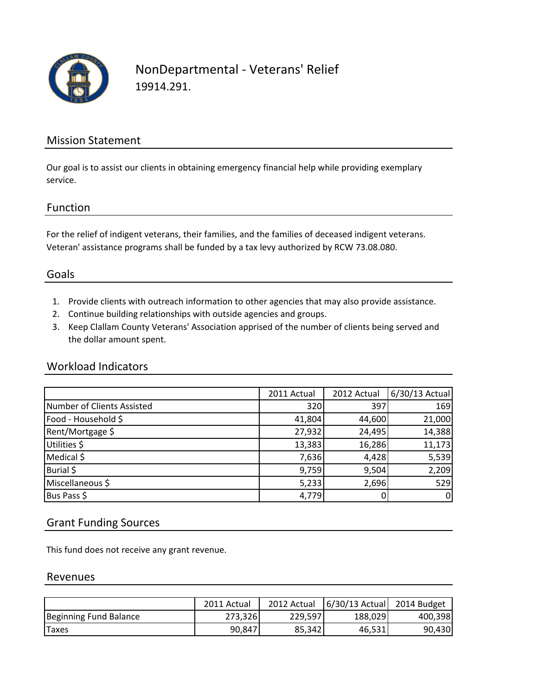

### NonDepartmental - Veterans' Relief 19914.291.

### Mission Statement

Our goal is to assist our clients in obtaining emergency financial help while providing exemplary service.

#### Function

For the relief of indigent veterans, their families, and the families of deceased indigent veterans. Veteran' assistance programs shall be funded by a tax levy authorized by RCW 73.08.080.

#### Goals

- 1. Provide clients with outreach information to other agencies that may also provide assistance.
- 2. Continue building relationships with outside agencies and groups.
- 3. Keep Clallam County Veterans' Association apprised of the number of clients being served and the dollar amount spent.

#### Workload Indicators

|                            | 2011 Actual | 2012 Actual | 6/30/13 Actual |
|----------------------------|-------------|-------------|----------------|
| Number of Clients Assisted | 320         | 397         | 169            |
| Food - Household \$        | 41,804      | 44,600      | 21,000         |
| Rent/Mortgage \$           | 27,932      | 24,495      | 14,388         |
| Utilities \$               | 13,383      | 16,286      | 11,173         |
| Medical \$                 | 7,636       | 4,428       | 5,539          |
| Burial \$                  | 9,759       | 9,504       | 2,209          |
| Miscellaneous \$           | 5,233       | 2,696       | 529            |
| Bus Pass \$                | 4,779       |             | $\mathbf{0}$   |

#### Grant Funding Sources

This fund does not receive any grant revenue.

#### Revenues

|                        | 2011 Actual | 2012 Actual | $6/30/13$ Actual | 2014 Budget |
|------------------------|-------------|-------------|------------------|-------------|
| Beginning Fund Balance | 273,326     | 229.597     | 188,029          | 400,398     |
| <b>Taxes</b>           | 90.847      | 85.342      | 46,531           | 90,430      |